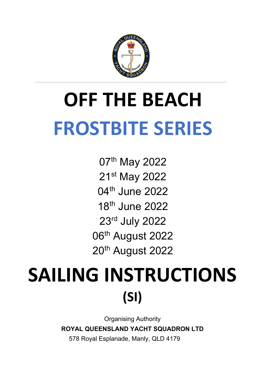

# **OFF THE BEACH FROSTBITE SERIES**

07th May 2022 21st May 2022 04th June 2022 18th June 2022 23rd July 2022 06<sup>th</sup> August 2022 20<sup>th</sup> August 2022

# **SAILING INSTRUCTIONS (SI)**

Organising Authority **ROYAL QUEENSLAND YACHT SQUADRON LTD**

578 Royal Esplanade, Manly, QLD 4179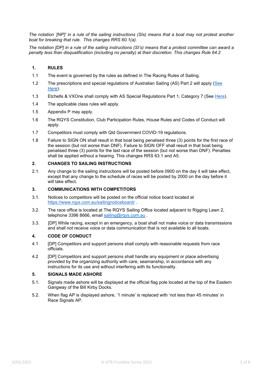*The notation '[NP]' in a rule of the sailing instructions (SIs) means that a boat may not protest another boat for breaking that rule. This changes RRS 60.1(a).* 

*The notation [DP] in a rule of the sailing instructions (SI's) means that a protest committee can award a penalty less than disqualification (including no penalty) at their discretion. This changes Rule 64.2*

#### **1. RULES**

- 1.1 The event is governed by the rules as defined in The Racing Rules of Sailing.
- 1.2 The prescriptions and special regulations of Australian Sailing (AS) Part 2 will apply [\(See](https://cdn.revolutionise.com.au/site/xa1nwvde4pplvtmv.pdf)  [Here\)](https://cdn.revolutionise.com.au/site/xa1nwvde4pplvtmv.pdf).
- 1.3 Etchells & VXOne shall comply with AS Special Regulations Part 1, Category 7 (See [Here\)](https://cdn.revolutionise.com.au/site/dcppqwtztjf34alt.pdf).
- 1.4 The applicable class rules will apply.
- 1.5 Appendix P may apply.
- 1.6 The RQYS Constitution, Club Participation Rules, House Rules and Codes of Conduct will apply.
- 1.7 Competitors must comply with Qld Government COVID-19 regulations.
- 1.8 Failure to SIGN ON shall result in that boat being penalised three (3) points for the first race of the session (but not worse than DNF). Failure to SIGN OFF shall result in that boat being penalised three (3) points for the last race of the session (but not worse than DNF). Penalties shall be applied without a hearing. This changes RRS 63.1 and A5.

#### **2. CHANGES TO SAILING INSTRUCTIONS**

2.1. Any change to the sailing instructions will be posted before 0900 on the day it will take effect, except that any change to the schedule of races will be posted by 2000 on the day before it will take effect.

#### **3. COMMUNICATIONS WITH COMPETITORS**

- 3.1. Notices to competitors will be posted on the official notice board located at <https://www.rqys.com.au/sailingnoticeboard/> .
- 3.2. The race office is located at The RQYS Sailing Office located adjacent to Rigging Lawn 2, telephone 3396 8666, email sailing@rgys.com.au.
- 3.3. [DP] While racing, except in an emergency, a boat shall not make voice or data transmissions and shall not receive voice or data communication that is not available to all boats.

#### **4. CODE OF CONDUCT**

- 4.1 [DP] Competitors and support persons shall comply with reasonable requests from race officials.
- 4.2 [DP] Competitors and support persons shall handle any equipment or place advertising provided by the organizing authority with care, seamanship, in accordance with any instructions for its use and without interfering with its functionality.

#### **5. SIGNALS MADE ASHORE**

- 5.1. Signals made ashore will be displayed at the official flag pole located at the top of the Eastern Gangway of the Bill Kirby Docks.
- 5.2. When flag AP is displayed ashore, '1 minute' is replaced with 'not less than 45 minutes' in Race Signals AP.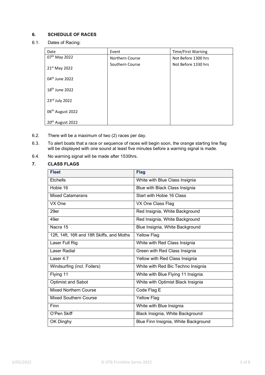### **6. SCHEDULE OF RACES**

6.1. Dates of Racing:

| Date                         | Event           | Time/First Warning  |
|------------------------------|-----------------|---------------------|
| 07 <sup>th</sup> May 2022    | Northern Course | Not Before 1300 hrs |
| 21 <sup>st</sup> May 2022    | Southern Course | Not Before 1330 hrs |
| $04th$ June 2022             |                 |                     |
| 18 <sup>th</sup> June 2022   |                 |                     |
| 23rd July 2022               |                 |                     |
| 06 <sup>th</sup> August 2022 |                 |                     |
| 20 <sup>th</sup> August 2022 |                 |                     |

- 6.2. There will be a maximum of two (2) races per day.
- 6.3. To alert boats that a race or sequence of races will begin soon, the orange starting line flag will be displayed with one sound at least five minutes before a warning signal is made.
- 6.4. No warning signal will be made after 1530hrs.

#### **7. CLASS FLAGS**

| <b>Fleet</b>                                | <b>Flag</b>                          |
|---------------------------------------------|--------------------------------------|
| <b>Etchells</b>                             | White with Blue Class Insignia       |
| Hobie 16                                    | Blue with Black Class Insignia       |
| <b>Mixed Catamarans</b>                     | Start with Hobie 16 Class            |
| VX One                                      | VX One Class Flag                    |
| 29er                                        | Red Insignia, White Background       |
| 49er                                        | Red Insignia, White Background       |
| Nacra 15                                    | Blue Insignia, White Background      |
| 12ft, 14ft, 16ft and 18ft Skiffs, and Moths | <b>Yellow Flag</b>                   |
| Laser Full Rig                              | White with Red Class Insignia        |
| Laser Radial                                | Green with Red Class Insignia        |
| Laser 4.7                                   | Yellow with Red Class Insignia       |
| Windsurfing (incl. Foilers)                 | White with Red Bic Techno Insignia   |
| Flying 11                                   | White with Blue Flying 11 Insignia   |
| <b>Optimist and Sabot</b>                   | White with Optimist Black Insignia   |
| <b>Mixed Northern Course</b>                | Code Flag E                          |
| <b>Mixed Southern Course</b>                | <b>Yellow Flag</b>                   |
| Finn                                        | White with Blue Insignia             |
| O'Pen Skiff                                 | Black Insignia, White Background     |
| OK Dinghy                                   | Blue Finn Insignia, White Background |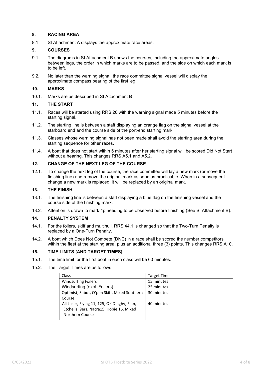#### **8. RACING AREA**

8.1 SI Attachment A displays the approximate race areas.

#### **9. COURSES**

- 9.1. The diagrams in SI Attachment B shows the courses, including the approximate angles between legs, the order in which marks are to be passed, and the side on which each mark is to be left.
- 9.2. No later than the warning signal, the race committee signal vessel will display the approximate compass bearing of the first leg.

#### **10. MARKS**

10.1. Marks are as described in SI Attachment B

#### **11. THE START**

- 11.1. Races will be started using RRS 26 with the warning signal made 5 minutes before the starting signal.
- 11.2. The starting line is between a staff displaying an orange flag on the signal vessel at the starboard end and the course side of the port-end starting mark.
- 11.3. Classes whose warning signal has not been made shall avoid the starting area during the starting sequence for other races.
- 11.4. A boat that does not start within 5 minutes after her starting signal will be scored Did Not Start without a hearing. This changes RRS A5.1 and A5.2.

#### **12. CHANGE OF THE NEXT LEG OF THE COURSE**

12.1. To change the next leg of the course, the race committee will lay a new mark (or move the finishing line) and remove the original mark as soon as practicable. When in a subsequent change a new mark is replaced, it will be replaced by an original mark.

#### **13. THE FINISH**

- 13.1. The finishing line is between a staff displaying a blue flag on the finishing vessel and the course side of the finishing mark.
- 13.2. Attention is drawn to mark 4p needing to be observed before finishing (See SI Attachment B).

#### **14. PENALTY SYSTEM**

- 14.1. For the foilers, skiff and multihull, RRS 44.1 is changed so that the Two-Turn Penalty is replaced by a One-Turn Penalty.
- 14.2. A boat which Does Not Compete (DNC) in a race shall be scored the number competitors within the fleet at the starting area, plus an additional three (3) points. This changes RRS A10.

#### **15. TIME LIMITS [AND TARGET TIMES]**

- 15.1. The time limit for the first boat in each class will be 60 minutes.
- 15.2. The Target Times are as follows:

| <b>Class</b>                                 | <b>Target Time</b> |
|----------------------------------------------|--------------------|
| <b>Windsurfing Foilers</b>                   | 15 minutes         |
| Windsurfing (excl. Foilers)                  | 25 minutes         |
| Optimist, Sabot, O'pen Skiff, Mixed Southern | 30 minutes         |
| Course                                       |                    |
| All Laser, Flying 11, 125, OK Dinghy, Finn,  | 40 minutes         |
| Etchells, 9ers, Nacra15, Hobie 16, Mixed     |                    |
| Northern Course                              |                    |
|                                              |                    |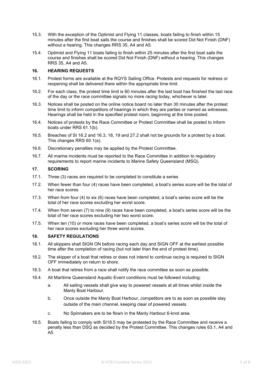- 15.3. With the exception of the Optimist and Flying 11 classes, boats failing to finish within 15 minutes after the first boat sails the course and finishes shall be scored Did Not Finish (DNF) without a hearing. This changes RRS 35, A4 and A5.
- 15.4. Optimist and Flying 11 boats failing to finish within 25 minutes after the first boat sails the course and finishes shall be scored Did Not Finish (DNF) without a hearing. This changes RRS 35, A4 and A5.

#### **16. HEARING REQUESTS**

- 16.1. Protest forms are available at the RQYS Sailing Office. Protests and requests for redress or reopening shall be delivered there within the appropriate time limit.
- 16.2. For each class, the protest time limit is 60 minutes after the last boat has finished the last race of the day or the race committee signals no more racing today, whichever is later.
- 16.3. Notices shall be posted on the online notice board no later than 30 minutes after the protest time limit to inform competitors of hearings in which they are parties or named as witnesses. Hearings shall be held in the specified protest room, beginning at the time posted.
- 16.4. Notices of protests by the Race Committee or Protest Committee shall be posted to inform boats under RRS 61.1(b).
- 16.5. Breaches of SI 16.2 and 16.3, 18, 19 and 27.2 shall not be grounds for a protest by a boat. This changes RRS 60.1(a).
- 16.6. Discretionary penalties may be applied by the Protest Committee.
- 16.7. All marine incidents must be reported to the Race Committee in addition to regulatory requirements to report marine incidents to Marine Safety Queensland (MSQ).

#### **17. SCORING**

- 17.1. Three (3) races are required to be completed to constitute a series
- 17.2. When fewer than four (4) races have been completed, a boat's series score will be the total of her race scores
- 17.3. When from four (4) to six (6) races have been completed, a boat's series score will be the total of her race scores excluding her worst score.
- 17.4. When from seven (7) to nine (9) races have been completed, a boat's series score will be the total of her race scores excluding her two worst score.
- 17.5. When ten (10) or more races have been completed, a boat's series score will be the total of her race scores excluding her three worst scores.

#### **18. SAFETY REGULATIONS**

- 18.1. All skippers shall SIGN ON before racing each day and SIGN OFF at the earliest possible time after the completion of racing (but not later than the end of protest time).
- 18.2. The skipper of a boat that retires or does not intend to continue racing is required to SIGN OFF immediately on return to shore.
- 18.3. A boat that retires from a race shall notify the race committee as soon as possible.
- 18.4. All Maritime Queensland Aquatic Event conditions must be followed including:
	- a. All sailing vessels shall give way to powered vessels at all times whilst inside the Manly Boat Harbour.
	- b. Once outside the Manly Boat Harbour, competitors are to as soon as possible stay outside of the main channel, keeping clear of powered vessels.
	- c. No Spinnakers are to be flown in the Manly Harbour 6-knot area.
- 18.5. Boats failing to comply with SI18.5 may be protested by the Race Committee and receive a penalty less than DSQ as decided by the Protest Committee. This changes rules 63.1, A4 and A5.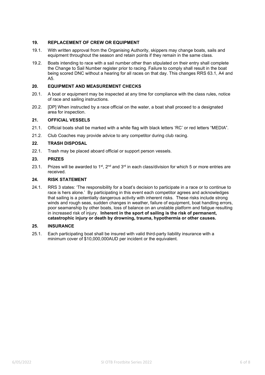#### **19. REPLACEMENT OF CREW OR EQUIPMENT**

- 19.1. With written approval from the Organising Authority, skippers may change boats, sails and equipment throughout the season and retain points if they remain in the same class.
- 19.2. Boats intending to race with a sail number other than stipulated on their entry shall complete the Change to Sail Number register prior to racing. Failure to comply shall result in the boat being scored DNC without a hearing for all races on that day. This changes RRS 63.1, A4 and A5.

#### **20. EQUIPMENT AND MEASUREMENT CHECKS**

- 20.1. A boat or equipment may be inspected at any time for compliance with the class rules, notice of race and sailing instructions.
- 20.2. [DP] When instructed by a race official on the water, a boat shall proceed to a designated area for inspection.

#### **21. OFFICIAL VESSELS**

- 21.1. Official boats shall be marked with a white flag with black letters 'RC' or red letters "MEDIA".
- 21.2. Club Coaches may provide advice to any competitor during club racing.

#### **22. TRASH DISPOSAL**

22.1. Trash may be placed aboard official or support person vessels.

#### **23. PRIZES**

23.1. Prizes will be awarded to 1<sup>st</sup>, 2<sup>nd</sup> and 3<sup>rd</sup> in each class/division for which 5 or more entries are received.

#### **24. RISK STATEMENT**

24.1. RRS 3 states: 'The responsibility for a boat's decision to participate in a race or to continue to race is hers alone.' By participating in this event each competitor agrees and acknowledges that sailing is a potentially dangerous activity with inherent risks. These risks include strong winds and rough seas, sudden changes in weather, failure of equipment, boat handling errors, poor seamanship by other boats, loss of balance on an unstable platform and fatigue resulting in increased risk of injury. **Inherent in the sport of sailing is the risk of permanent, catastrophic injury or death by drowning, trauma, hypothermia or other causes.**

#### **25. INSURANCE**

25.1. Each participating boat shall be insured with valid third-party liability insurance with a minimum cover of \$10,000,000AUD per incident or the equivalent.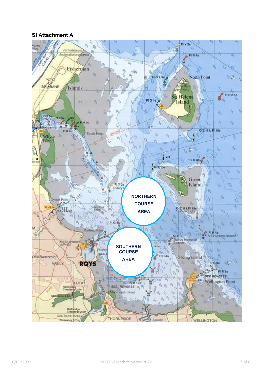## **SI Attachment A**